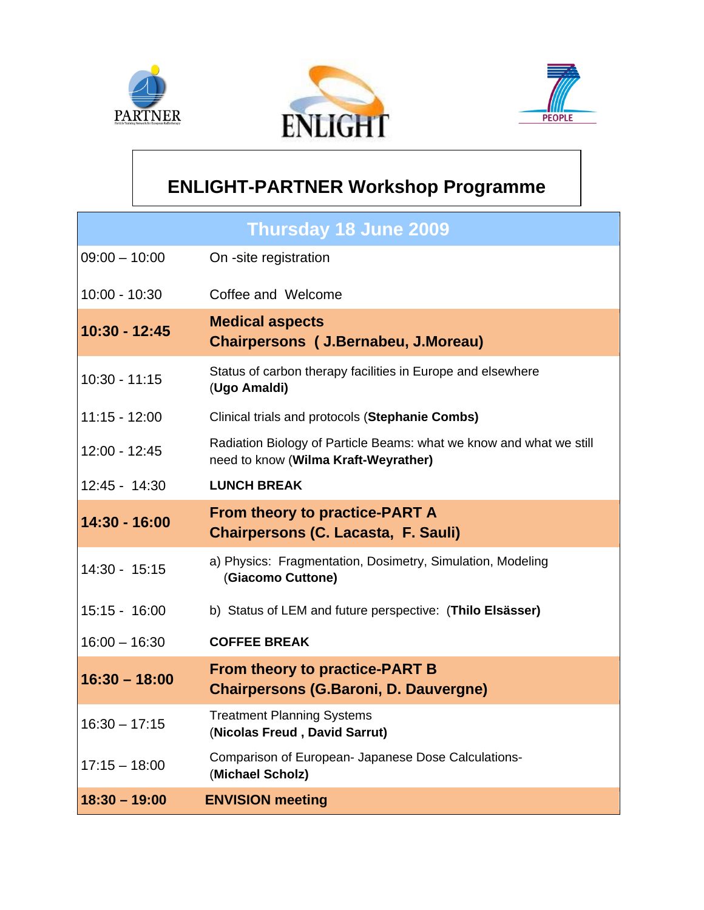





## **ENLIGHT-PARTNER Workshop Programme**

| <b>Thursday 18 June 2009</b> |                                                                                                             |
|------------------------------|-------------------------------------------------------------------------------------------------------------|
| $09:00 - 10:00$              | On -site registration                                                                                       |
| 10:00 - 10:30                | Coffee and Welcome                                                                                          |
| 10:30 - 12:45                | <b>Medical aspects</b><br>Chairpersons ( J.Bernabeu, J.Moreau)                                              |
| $10:30 - 11:15$              | Status of carbon therapy facilities in Europe and elsewhere<br>(Ugo Amaldi)                                 |
| $11:15 - 12:00$              | Clinical trials and protocols (Stephanie Combs)                                                             |
| 12:00 - 12:45                | Radiation Biology of Particle Beams: what we know and what we still<br>need to know (Wilma Kraft-Weyrather) |
| $12:45 - 14:30$              | <b>LUNCH BREAK</b>                                                                                          |
|                              | <b>From theory to practice-PART A</b>                                                                       |
| 14:30 - 16:00                | <b>Chairpersons (C. Lacasta, F. Sauli)</b>                                                                  |
| 14:30 - 15:15                | a) Physics: Fragmentation, Dosimetry, Simulation, Modeling<br>(Giacomo Cuttone)                             |
| 15:15 - 16:00                | b) Status of LEM and future perspective: (Thilo Elsässer)                                                   |
| $16:00 - 16:30$              | <b>COFFEE BREAK</b>                                                                                         |
| $16:30 - 18:00$              | <b>From theory to practice-PART B</b><br><b>Chairpersons (G.Baroni, D. Dauvergne)</b>                       |
| $16:30 - 17:15$              | <b>Treatment Planning Systems</b><br>(Nicolas Freud, David Sarrut)                                          |
| $17:15 - 18:00$              | Comparison of European- Japanese Dose Calculations-<br>(Michael Scholz)                                     |